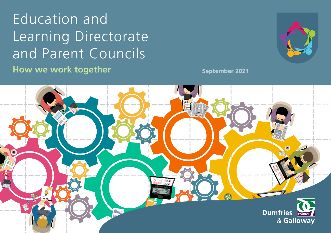# **Education and** Learning Directorate and Parent Councils How we work together



**September 2021** 

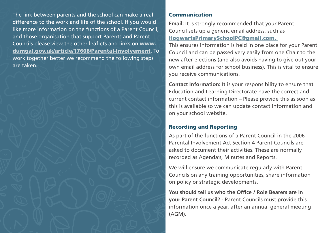The link between parents and the school can make a real difference to the work and life of the school. If you would like more information on the functions of a Parent Council, and those organisation that support Parents and Parent Councils please view the other leaflets and links on www. [dumgal.gov.uk/article/17608/Parental-Involvement](http://www.dumgal.gov.uk/article/17608/Parental-Involvement). To work together better we recommend the following steps are taken.

### Communication

**Email:** It is strongly recommended that your Parent Council sets up a generic email address, such as [HogwartsPrimarySchoolPC@gmail.com.](mailto:HogwartsPrimarySchoolPC@gmail.com. k) 

This ensures information is held in one place for your Parent Council and can be passed very easily from one Chair to the new after elections (and also avoids having to give out your own email address for school business). This is vital to ensure you receive communications.

**Contact Information:** It is your responsibility to ensure that Education and Learning Directorate have the correct and current contact information – Please provide this as soon as this is available so we can update contact information and on your school website.

# Recording and Reporting

As part of the functions of a Parent Council in the 2006 Parental Involvement Act Section 4 Parent Councils are asked to document their activities. These are normally recorded as Agenda's, Minutes and Reports.

We will ensure we communicate regularly with Parent Councils on any training opportunities, share information on policy or strategic developments.

You should tell us who the Office / Role Bearers are in **your Parent Council?** - Parent Councils must provide this information once a year, after an annual general meeting (AGM).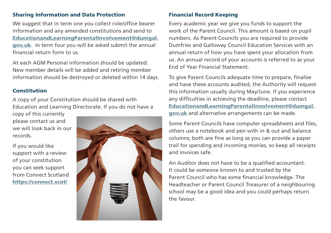## Sharing Information and Data Protection

We suggest that in term one you collect role/office bearer information and any amended constitutions and send to [EducationandLearningParentalInvolvement@dumgal.](mailto:EducationandLearningParentalInvolvement@dumgal.gov.uk) [gov.uk](mailto:EducationandLearningParentalInvolvement@dumgal.gov.uk). In term four you will be asked submit the annual fnancial return form to us.

At each AGM Personal information should be updated. New member details will be added and retiring member information should be destroyed or deleted within 14 days.

### Constitution

A copy of your Constitution should be shared with Education and Learning Directorate. If you do not have a

copy of this currently please contact us and we will look back in our records.

If you would like support with a review of your constitution you can seek support from Connect Scotland <https://connect.scot/>



# Financial Record Keeping

Every academic year we give you funds to support the work of the Parent Council. This amount is based on pupil numbers. As Parent Councils you are required to provide Dumfries and Galloway Council Education Services with an annual return of how you have spent your allocation from us. An annual record of your accounts is referred to as your End of Year Financial Statement.

To give Parent Councils adequate time to prepare, fnalise and have these accounts audited, the Authority will request this information usually during May/June. If you experience any difficulties in achieving the deadline, please contact [EducationandLearningParentalInvolvement@dumgal.](mailto:EducationandLearningParentalInvolvement@dumgal.gov.uk) [gov.uk](mailto:EducationandLearningParentalInvolvement@dumgal.gov.uk) and alternative arrangements can be made.

Some Parent Councils have computer spreadsheets and fles, others use a notebook and pen with in & out and balance columns; both are fine as long as you can provide a paper trail for spending and incoming monies, so keep all receipts and invoices safe.

An Auditor does not have to be a qualified accountant. It could be someone known to and trusted by the Parent Council who has some financial knowledge. The Headteacher or Parent Council Treasurer of a neighbouring school may be a good idea and you could perhaps return the favour.